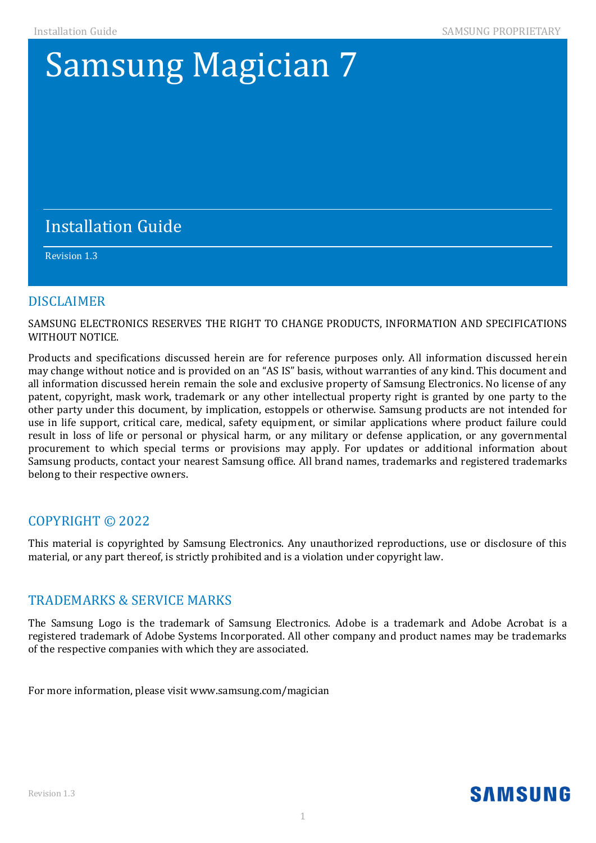# **Samsung Magician 7**

#### If you want to obtain the complete Corresponding Source code in the physical medium such as  $C$ performing source distribution may be charged. This information of this information of this information. This information of this information. This information is valid to any of this information. In this information. This

#### component License and License and License and License and License and License and License and License and License and License and License and License and License and License and License and License and License and License  $\mathcal{L}_{\mathcal{A}}$  , and  $\mathcal{L}_{\mathcal{A}}$  , and  $\mathcal{L}_{\mathcal{A}}$  , and  $\mathcal{L}_{\mathcal{A}}$  , and  $\mathcal{L}_{\mathcal{A}}$  , and  $\mathcal{L}_{\mathcal{A}}$  , and  $\mathcal{L}_{\mathcal{A}}$  , and  $\mathcal{L}_{\mathcal{A}}$  , and  $\mathcal{L}_{\mathcal{A}}$  , and  $\mathcal{L}_{\mathcal{A}}$  , and  $\mathcal{L}_{\mathcal{$ Revision 1.3

#### **DISCLAIMER**

SAMSUNG ELECTRONICS RESERVES THE RIGHT TO CHANGE PRODUCTS, INFORMATION AND SPECIFICATIONS WITHOUT NOTICE.

Products and specifications discussed herein are for reference purposes only. All information discussed herein may change without notice and is provided on an "AS IS" basis, without warranties of any kind. This document and all information discussed herein remain the sole and exclusive property of Samsung Electronics. No license of any patent, copyright, mask work, trademark or any other intellectual property right is granted by one party to the other party under this document, by implication, estoppels or otherwise. Samsung products are not intended for use in life support, critical care, medical, safety equipment, or similar applications where product failure could result in loss of life or personal or physical harm, or any military or defense application, or any governmental procurement to which special terms or provisions may apply. For updates or additional information about Samsung products, contact your nearest Samsung office. All brand names, trademarks and registered trademarks belong to their respective owners.

### COPYRIGHT © 2022

This material is copyrighted by Samsung Electronics. Any unauthorized reproductions, use or disclosure of this material, or any part thereof, is strictly prohibited and is a violation under copyright law.

#### TRADEMARKS & SERVICE MARKS

The Samsung Logo is the trademark of Samsung Electronics. Adobe is a trademark and Adobe Acrobat is a registered trademark of Adobe Systems Incorporated. All other company and product names may be trademarks of the respective companies with which they are associated.

For more information, please visit www.samsung.com/magician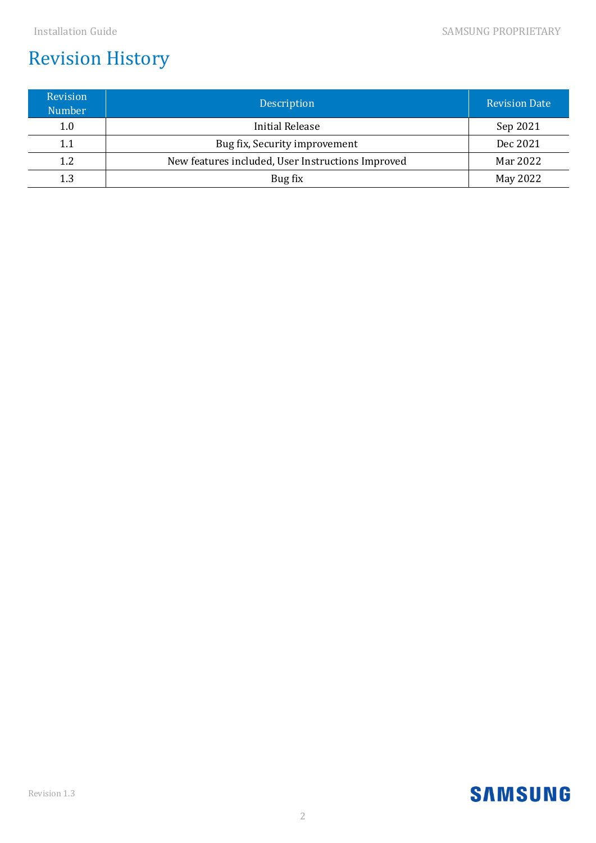# Revision History

| <b>Revision</b><br><b>Number</b> | Description                                       | <b>Revision Date</b> |
|----------------------------------|---------------------------------------------------|----------------------|
| 1.0                              | Initial Release                                   | Sep 2021             |
| 1.1                              | Bug fix, Security improvement                     | Dec 2021             |
| 1.2                              | New features included, User Instructions Improved | Mar 2022             |
| 1.3                              | Bug fix                                           | May 2022             |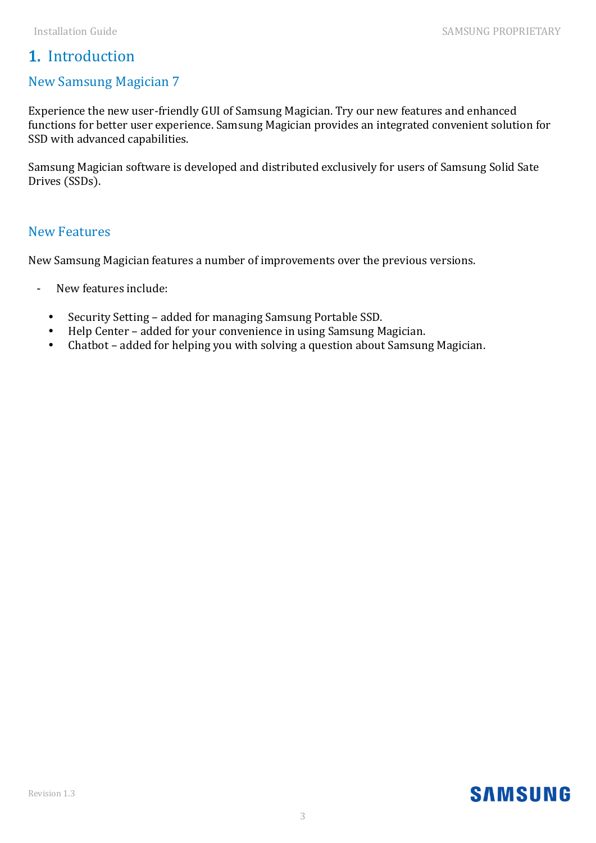# 1. Introduction

## New Samsung Magician 7

Experience the new user-friendly GUI of Samsung Magician. Try our new features and enhanced functions for better user experience. Samsung Magician provides an integrated convenient solution for SSD with advanced capabilities.

Samsung Magician software is developed and distributed exclusively for users of Samsung Solid Sate Drives (SSDs).

#### New Features

New Samsung Magician features a number of improvements over the previous versions.

- New features include:
	- Security Setting added for managing Samsung Portable SSD.
	- Help Center added for your convenience in using Samsung Magician.
	- Chatbot added for helping you with solving a question about Samsung Magician.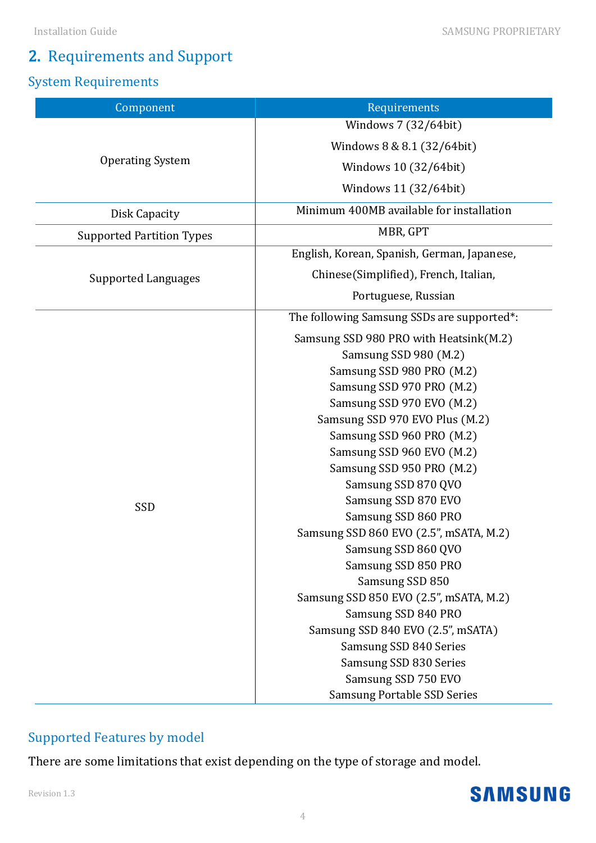#### Installation Guide SAMSUNG PROPRIETARY

# 2. Requirements and Support

# System Requirements

| Component                        | Requirements                                |  |  |  |
|----------------------------------|---------------------------------------------|--|--|--|
|                                  | Windows 7 (32/64bit)                        |  |  |  |
|                                  | Windows 8 & 8.1 (32/64bit)                  |  |  |  |
| <b>Operating System</b>          | Windows 10 (32/64bit)                       |  |  |  |
|                                  | Windows 11 (32/64bit)                       |  |  |  |
| Disk Capacity                    | Minimum 400MB available for installation    |  |  |  |
| <b>Supported Partition Types</b> | MBR, GPT                                    |  |  |  |
|                                  | English, Korean, Spanish, German, Japanese, |  |  |  |
| Supported Languages              | Chinese(Simplified), French, Italian,       |  |  |  |
|                                  | Portuguese, Russian                         |  |  |  |
|                                  | The following Samsung SSDs are supported*:  |  |  |  |
|                                  | Samsung SSD 980 PRO with Heatsink(M.2)      |  |  |  |
|                                  | Samsung SSD 980 (M.2)                       |  |  |  |
|                                  | Samsung SSD 980 PRO (M.2)                   |  |  |  |
|                                  | Samsung SSD 970 PRO (M.2)                   |  |  |  |
|                                  | Samsung SSD 970 EVO (M.2)                   |  |  |  |
|                                  | Samsung SSD 970 EVO Plus (M.2)              |  |  |  |
|                                  | Samsung SSD 960 PRO (M.2)                   |  |  |  |
|                                  | Samsung SSD 960 EVO (M.2)                   |  |  |  |
|                                  | Samsung SSD 950 PRO (M.2)                   |  |  |  |
|                                  | Samsung SSD 870 QVO                         |  |  |  |
|                                  | Samsung SSD 870 EVO                         |  |  |  |
| SSD                              | Samsung SSD 860 PRO                         |  |  |  |
|                                  | Samsung SSD 860 EVO (2.5", mSATA, M.2)      |  |  |  |
|                                  | Samsung SSD 860 QVO                         |  |  |  |
|                                  | Samsung SSD 850 PRO                         |  |  |  |
|                                  | Samsung SSD 850                             |  |  |  |
|                                  | Samsung SSD 850 EVO (2.5", mSATA, M.2)      |  |  |  |
|                                  | Samsung SSD 840 PRO                         |  |  |  |
|                                  | Samsung SSD 840 EVO (2.5", mSATA)           |  |  |  |
|                                  | Samsung SSD 840 Series                      |  |  |  |
|                                  | Samsung SSD 830 Series                      |  |  |  |
|                                  | Samsung SSD 750 EVO                         |  |  |  |
|                                  | <b>Samsung Portable SSD Series</b>          |  |  |  |
|                                  |                                             |  |  |  |

# Supported Features by model

There are some limitations that exist depending on the type of storage and model.

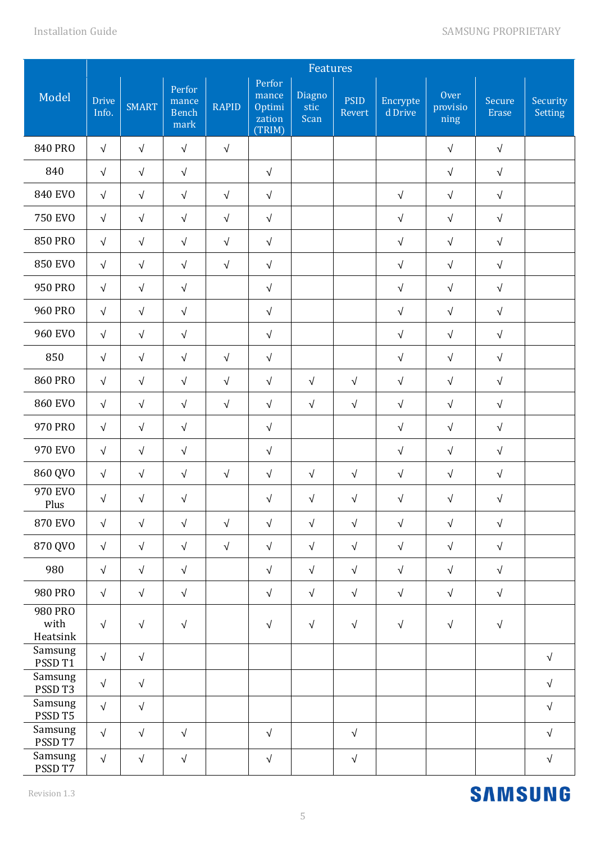|                             |                       | Features     |                                         |              |                                               |                        |                       |                     |                          |                        |                            |
|-----------------------------|-----------------------|--------------|-----------------------------------------|--------------|-----------------------------------------------|------------------------|-----------------------|---------------------|--------------------------|------------------------|----------------------------|
| Model                       | <b>Drive</b><br>Info. | <b>SMART</b> | Perfor<br>mance<br><b>Bench</b><br>mark | <b>RAPID</b> | Perfor<br>mance<br>Optimi<br>zation<br>(TRIM) | Diagno<br>stic<br>Scan | <b>PSID</b><br>Revert | Encrypte<br>d Drive | Over<br>provisio<br>ning | Secure<br><b>Erase</b> | Security<br><b>Setting</b> |
| <b>840 PRO</b>              | $\sqrt{}$             | $\sqrt{ }$   | $\sqrt{ }$                              | $\sqrt{ }$   |                                               |                        |                       |                     | $\sqrt{ }$               | $\sqrt{ }$             |                            |
| 840                         | $\sqrt{}$             | $\sqrt{}$    | $\sqrt{ }$                              |              | $\sqrt{}$                                     |                        |                       |                     | $\sqrt{ }$               | $\sqrt{ }$             |                            |
| <b>840 EVO</b>              | $\sqrt{ }$            | $\sqrt{ }$   | $\sqrt{ }$                              | $\sqrt{ }$   | $\sqrt{}$                                     |                        |                       | $\sqrt{ }$          | $\sqrt{}$                | $\sqrt{ }$             |                            |
| <b>750 EVO</b>              | $\sqrt{ }$            | $\sqrt{ }$   | $\sqrt{ }$                              | $\sqrt{ }$   | $\sqrt{}$                                     |                        |                       | $\sqrt{ }$          | $\sqrt{}$                | $\sqrt{ }$             |                            |
| <b>850 PRO</b>              | $\sqrt{ }$            | $\sqrt{ }$   | $\sqrt{}$                               | $\sqrt{ }$   | $\sqrt{ }$                                    |                        |                       | $\sqrt{ }$          | $\sqrt{}$                | $\sqrt{ }$             |                            |
| <b>850 EVO</b>              | $\sqrt{ }$            | $\sqrt{}$    | $\sqrt{}$                               | $\sqrt{ }$   | $\sqrt{ }$                                    |                        |                       | $\sqrt{}$           | $\sqrt{}$                | $\sqrt{ }$             |                            |
| 950 PRO                     | $\sqrt{ }$            | $\sqrt{}$    | $\sqrt{}$                               |              | $\sqrt{ }$                                    |                        |                       | $\sqrt{}$           | $\sqrt{ }$               | $\sqrt{}$              |                            |
| <b>960 PRO</b>              | $\sqrt{ }$            | $\sqrt{}$    | $\sqrt{ }$                              |              | $\sqrt{ }$                                    |                        |                       | $\sqrt{ }$          | $\sqrt{ }$               | $\sqrt{}$              |                            |
| <b>960 EVO</b>              | $\sqrt{}$             | $\sqrt{}$    | $\sqrt{ }$                              |              | $\sqrt{}$                                     |                        |                       | $\sqrt{ }$          | $\sqrt{}$                | $\sqrt{ }$             |                            |
| 850                         | $\sqrt{}$             | $\sqrt{}$    | $\sqrt{ }$                              | $\sqrt{ }$   | $\sqrt{}$                                     |                        |                       | $\sqrt{ }$          | $\sqrt{}$                | $\sqrt{ }$             |                            |
| <b>860 PRO</b>              | $\sqrt{ }$            | $\sqrt{}$    | $\sqrt{ }$                              | $\sqrt{}$    | $\sqrt{}$                                     | $\sqrt{ }$             | $\sqrt{ }$            | $\sqrt{ }$          | $\sqrt{}$                | $\sqrt{ }$             |                            |
| <b>860 EVO</b>              | $\sqrt{}$             | $\sqrt{ }$   | $\sqrt{ }$                              | $\sqrt{ }$   | $\sqrt{}$                                     | $\sqrt{ }$             | $\sqrt{ }$            | $\sqrt{ }$          | $\sqrt{}$                | $\sqrt{ }$             |                            |
| 970 PRO                     | $\sqrt{ }$            | $\sqrt{ }$   | $\sqrt{ }$                              |              | $\sqrt{ }$                                    |                        |                       | $\sqrt{ }$          | $\sqrt{ }$               | $\sqrt{ }$             |                            |
| 970 EVO                     | $\sqrt{}$             | $\sqrt{}$    | $\sqrt{ }$                              |              | $\sqrt{ }$                                    |                        |                       | $\sqrt{ }$          | $\sqrt{}$                | $\sqrt{}$              |                            |
| 860 QVO                     | $\sqrt{ }$            | $\sqrt{}$    | $\sqrt{ }$                              | $\sqrt{ }$   | $\sqrt{ }$                                    | $\sqrt{ }$             | $\sqrt{}$             | $\sqrt{}$           | $\sqrt{ }$               | $\sqrt{ }$             |                            |
| 970 EVO<br>Plus             | $\sqrt{}$             | $\sqrt{}$    | $\sqrt{ }$                              |              | $\sqrt{ }$                                    | $\sqrt{ }$             | $\sqrt{}$             | $\sqrt{}$           | $\sqrt{ }$               | $\sqrt{ }$             |                            |
| <b>870 EVO</b>              | $\sqrt{ }$            | $\sqrt{}$    | $\sqrt{ }$                              | $\sqrt{ }$   | $\sqrt{}$                                     | $\sqrt{ }$             | $\sqrt{ }$            | $\sqrt{ }$          | $\sqrt{ }$               | $\sqrt{ }$             |                            |
| 870 QVO                     | $\sqrt{ }$            | $\sqrt{}$    | $\sqrt{}$                               | $\sqrt{ }$   | $\sqrt{ }$                                    | $\sqrt{ }$             | $\sqrt{ }$            | $\sqrt{ }$          | $\sqrt{ }$               | $\sqrt{}$              |                            |
| 980                         | $\sqrt{}$             | $\sqrt{ }$   | $\sqrt{ }$                              |              | $\sqrt{}$                                     | $\sqrt{ }$             | $\sqrt{ }$            | $\sqrt{ }$          | $\sqrt{ }$               | $\sqrt{ }$             |                            |
| 980 PRO                     | $\sqrt{}$             | $\sqrt{ }$   | $\sqrt{}$                               |              | $\sqrt{}$                                     | $\sqrt{ }$             | $\sqrt{ }$            | $\sqrt{}$           | $\sqrt{ }$               | $\sqrt{}$              |                            |
| 980 PRO<br>with<br>Heatsink | $\sqrt{}$             | $\sqrt{ }$   | $\sqrt{ }$                              |              | $\sqrt{ }$                                    | $\sqrt{ }$             | $\sqrt{ }$            | $\sqrt{ }$          | $\sqrt{ }$               | $\sqrt{ }$             |                            |
| Samsung<br>PSSD T1          | $\sqrt{}$             | $\sqrt{}$    |                                         |              |                                               |                        |                       |                     |                          |                        | $\sqrt{ }$                 |
| Samsung<br>PSSD T3          | $\sqrt{ }$            | $\sqrt{}$    |                                         |              |                                               |                        |                       |                     |                          |                        | $\sqrt{ }$                 |
| Samsung<br>PSSD T5          | $\sqrt{ }$            | $\sqrt{}$    |                                         |              |                                               |                        |                       |                     |                          |                        | $\sqrt{ }$                 |
| Samsung<br>PSSD T7          | $\sqrt{ }$            | $\sqrt{}$    | $\sqrt{}$                               |              | $\sqrt{}$                                     |                        | $\sqrt{}$             |                     |                          |                        | $\sqrt{ }$                 |
| Samsung<br>PSSD T7          | $\sqrt{ }$            | $\sqrt{}$    | $\sqrt{}$                               |              | $\sqrt{ }$                                    |                        | $\sqrt{}$             |                     |                          |                        | $\sqrt{ }$                 |

#### Revision 1.3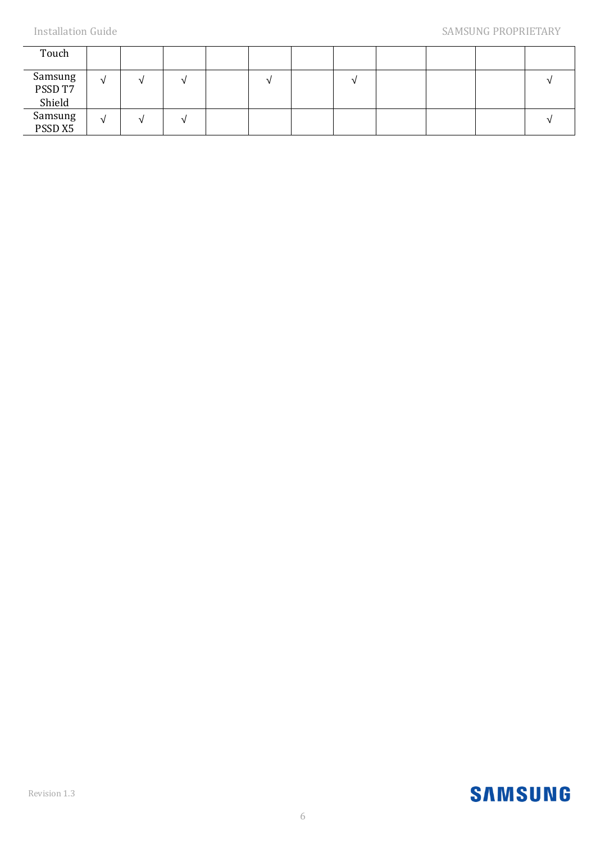| Touch                        |            |  |  |  |  |  |
|------------------------------|------------|--|--|--|--|--|
| Samsung<br>PSSD T7<br>Shield | N          |  |  |  |  |  |
| Samsung<br>PSSD X5           | $\sqrt{ }$ |  |  |  |  |  |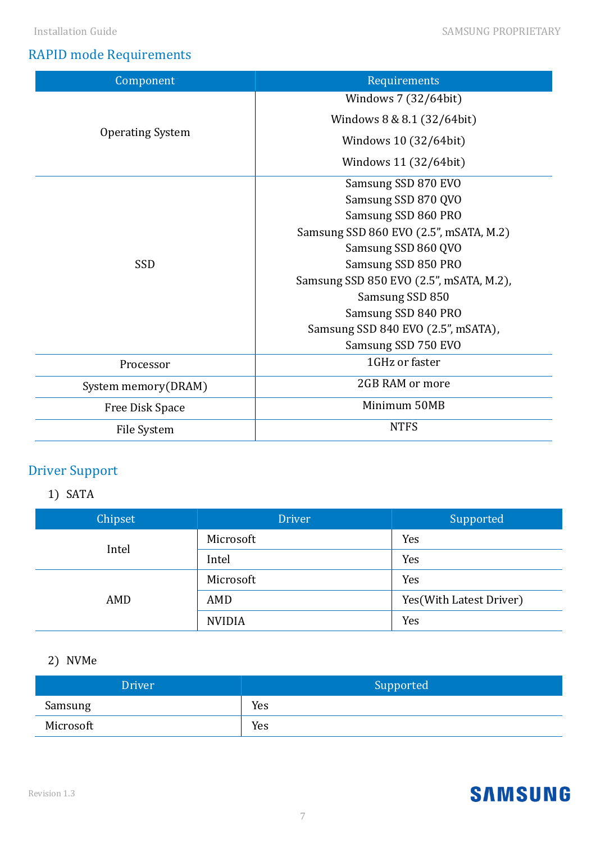# RAPID mode Requirements

| Component               | Requirements                            |  |  |  |
|-------------------------|-----------------------------------------|--|--|--|
|                         | Windows 7 (32/64bit)                    |  |  |  |
|                         | Windows 8 & 8.1 (32/64bit)              |  |  |  |
| <b>Operating System</b> | Windows 10 (32/64bit)                   |  |  |  |
|                         | Windows 11 (32/64bit)                   |  |  |  |
|                         | Samsung SSD 870 EVO                     |  |  |  |
|                         | Samsung SSD 870 QVO                     |  |  |  |
|                         | Samsung SSD 860 PRO                     |  |  |  |
|                         | Samsung SSD 860 EVO (2.5", mSATA, M.2)  |  |  |  |
|                         | Samsung SSD 860 QVO                     |  |  |  |
| SSD                     | Samsung SSD 850 PRO                     |  |  |  |
|                         | Samsung SSD 850 EVO (2.5", mSATA, M.2), |  |  |  |
|                         | Samsung SSD 850                         |  |  |  |
|                         | Samsung SSD 840 PRO                     |  |  |  |
|                         | Samsung SSD 840 EVO (2.5", mSATA),      |  |  |  |
|                         | Samsung SSD 750 EVO                     |  |  |  |
| Processor               | 1GHz or faster                          |  |  |  |
| System memory(DRAM)     | 2GB RAM or more                         |  |  |  |
| Free Disk Space         | Minimum 50MB                            |  |  |  |
| File System             | <b>NTFS</b>                             |  |  |  |

# Driver Support

# 1) SATA

| Chipset | <b>Driver</b> | Supported                |
|---------|---------------|--------------------------|
| Intel   | Microsoft     | Yes                      |
|         | Intel         | Yes                      |
|         | Microsoft     | Yes                      |
| AMD     | AMD           | Yes (With Latest Driver) |
|         | <b>NVIDIA</b> | Yes                      |

# 2) NVMe

| <b>Driver</b> | Supported |
|---------------|-----------|
| Samsung       | Yes       |
| Microsoft     | Yes       |

#### Revision 1.3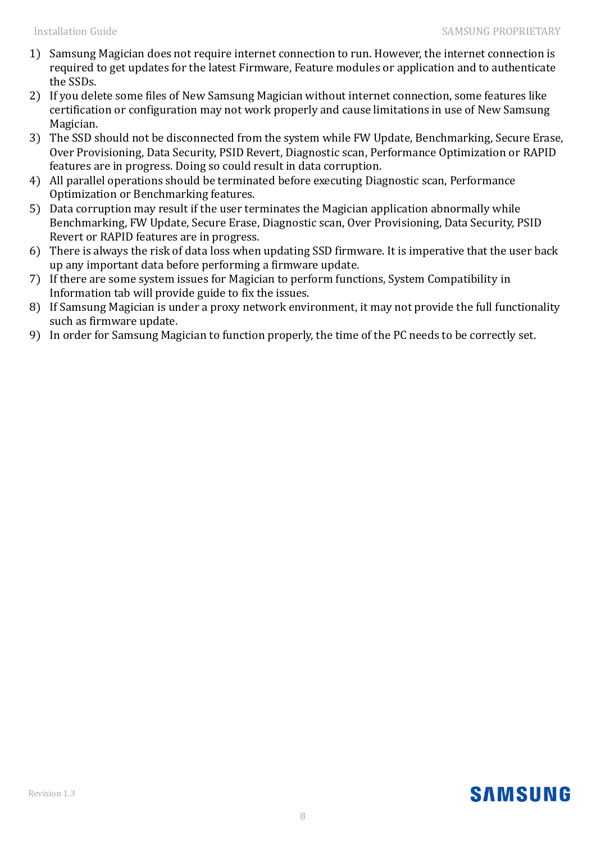- 1) Samsung Magician does not require internet connection to run. However, the internet connection is required to get updates for the latest Firmware, Feature modules or application and to authenticate the SSDs.
- 2) If you delete some files of New Samsung Magician without internet connection, some features like certification or configuration may not work properly and cause limitations in use of New Samsung Magician.
- 3) The SSD should not be disconnected from the system while FW Update, Benchmarking, Secure Erase, Over Provisioning, Data Security, PSID Revert, Diagnostic scan, Performance Optimization or RAPID features are in progress. Doing so could result in data corruption.
- 4) All parallel operations should be terminated before executing Diagnostic scan, Performance Optimization or Benchmarking features.
- 5) Data corruption may result if the user terminates the Magician application abnormally while Benchmarking, FW Update, Secure Erase, Diagnostic scan, Over Provisioning, Data Security, PSID Revert or RAPID features are in progress.
- 6) There is always the risk of data loss when updating SSD firmware. It is imperative that the user back up any important data before performing a firmware update.
- 7) If there are some system issues for Magician to perform functions, System Compatibility in Information tab will provide guide to fix the issues.
- 8) If Samsung Magician is under a proxy network environment, it may not provide the full functionality such as firmware update.
- 9) In order for Samsung Magician to function properly, the time of the PC needs to be correctly set.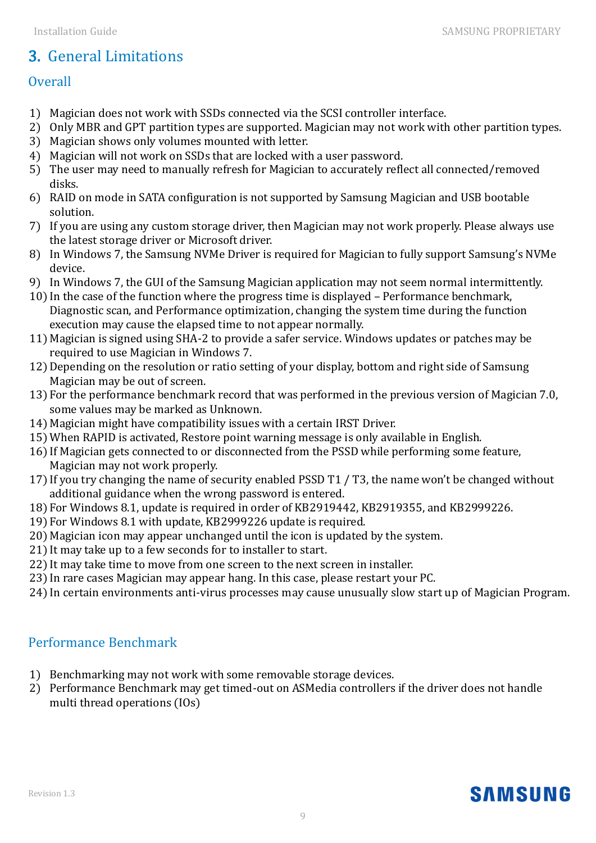# 3. General Limitations

# **Overall**

- 1) Magician does not work with SSDs connected via the SCSI controller interface.
- 2) Only MBR and GPT partition types are supported. Magician may not work with other partition types.
- 3) Magician shows only volumes mounted with letter.
- 4) Magician will not work on SSDs that are locked with a user password.
- 5) The user may need to manually refresh for Magician to accurately reflect all connected/removed disks.
- 6) RAID on mode in SATA configuration is not supported by Samsung Magician and USB bootable solution.
- 7) If you are using any custom storage driver, then Magician may not work properly. Please always use the latest storage driver or Microsoft driver.
- 8) In Windows 7, the Samsung NVMe Driver is required for Magician to fully support Samsung's NVMe device.
- 9) In Windows 7, the GUI of the Samsung Magician application may not seem normal intermittently.
- 10) In the case of the function where the progress time is displayed Performance benchmark, Diagnostic scan, and Performance optimization, changing the system time during the function execution may cause the elapsed time to not appear normally.
- 11) Magician is signed using SHA-2 to provide a safer service. Windows updates or patches may be required to use Magician in Windows 7.
- 12)Depending on the resolution or ratio setting of your display, bottom and right side of Samsung Magician may be out of screen.
- 13) For the performance benchmark record that was performed in the previous version of Magician 7.0, some values may be marked as Unknown.
- 14) Magician might have compatibility issues with a certain IRST Driver.
- 15)When RAPID is activated, Restore point warning message is only available in English.
- 16) If Magician gets connected to or disconnected from the PSSD while performing some feature, Magician may not work properly.
- 17) If you try changing the name of security enabled PSSD T1 / T3, the name won't be changed without additional guidance when the wrong password is entered.
- 18) For Windows 8.1, update is required in order of KB2919442, KB2919355, and KB2999226.
- 19) For Windows 8.1 with update, KB2999226 update is required.
- 20) Magician icon may appear unchanged until the icon is updated by the system.
- 21) It may take up to a few seconds for to installer to start.
- 22) It may take time to move from one screen to the next screen in installer.
- 23) In rare cases Magician may appear hang. In this case, please restart your PC.
- 24) In certain environments anti-virus processes may cause unusually slow start up of Magician Program.

# Performance Benchmark

- 1) Benchmarking may not work with some removable storage devices.
- 2) Performance Benchmark may get timed-out on ASMedia controllers if the driver does not handle multi thread operations (IOs)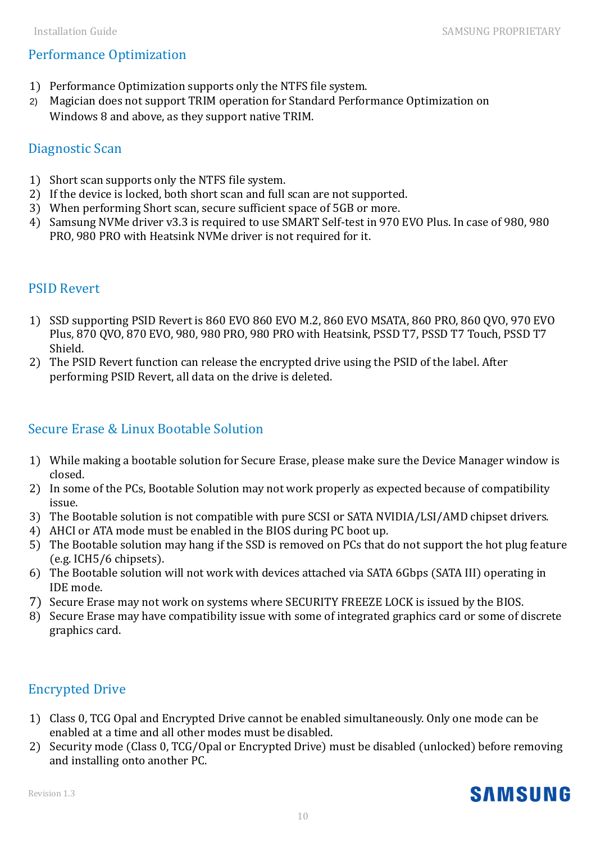# Performance Optimization

- 1) Performance Optimization supports only the NTFS file system.
- 2) Magician does not support TRIM operation for Standard Performance Optimization on Windows 8 and above, as they support native TRIM.

## Diagnostic Scan

- 1) Short scan supports only the NTFS file system.
- 2) If the device is locked, both short scan and full scan are not supported.
- 3) When performing Short scan, secure sufficient space of 5GB or more.
- 4) Samsung NVMe driver v3.3 is required to use SMART Self-test in 970 EVO Plus. In case of 980, 980 PRO, 980 PRO with Heatsink NVMe driver is not required for it.

## PSID Revert

- 1) SSD supporting PSID Revert is 860 EVO 860 EVO M.2, 860 EVO MSATA, 860 PRO, 860 QVO, 970 EVO Plus, 870 QVO, 870 EVO, 980, 980 PRO, 980 PRO with Heatsink, PSSD T7, PSSD T7 Touch, PSSD T7 Shield.
- 2) The PSID Revert function can release the encrypted drive using the PSID of the label. After performing PSID Revert, all data on the drive is deleted.

## Secure Erase & Linux Bootable Solution

- 1) While making a bootable solution for Secure Erase, please make sure the Device Manager window is closed.
- 2) In some of the PCs, Bootable Solution may not work properly as expected because of compatibility issue.
- 3) The Bootable solution is not compatible with pure SCSI or SATA NVIDIA/LSI/AMD chipset drivers.
- 4) AHCI or ATA mode must be enabled in the BIOS during PC boot up.
- 5) The Bootable solution may hang if the SSD is removed on PCs that do not support the hot plug feature (e.g. ICH5/6 chipsets).
- 6) The Bootable solution will not work with devices attached via SATA 6Gbps (SATA III) operating in IDE mode.
- 7) Secure Erase may not work on systems where SECURITY FREEZE LOCK is issued by the BIOS.
- 8) Secure Erase may have compatibility issue with some of integrated graphics card or some of discrete graphics card.

## Encrypted Drive

- 1) Class 0, TCG Opal and Encrypted Drive cannot be enabled simultaneously. Only one mode can be enabled at a time and all other modes must be disabled.
- 2) Security mode (Class 0, TCG/Opal or Encrypted Drive) must be disabled (unlocked) before removing and installing onto another PC.

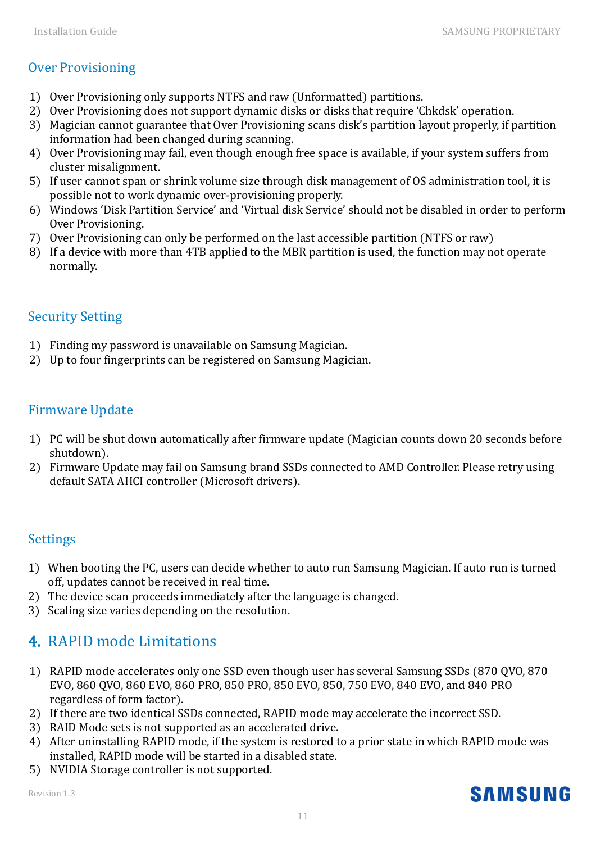# Over Provisioning

- 1) Over Provisioning only supports NTFS and raw (Unformatted) partitions.
- 2) Over Provisioning does not support dynamic disks or disks that require 'Chkdsk' operation.
- 3) Magician cannot guarantee that Over Provisioning scans disk's partition layout properly, if partition information had been changed during scanning.
- 4) Over Provisioning may fail, even though enough free space is available, if your system suffers from cluster misalignment.
- 5) If user cannot span or shrink volume size through disk management of OS administration tool, it is possible not to work dynamic over-provisioning properly.
- 6) Windows 'Disk Partition Service' and 'Virtual disk Service' should not be disabled in order to perform Over Provisioning.
- 7) Over Provisioning can only be performed on the last accessible partition (NTFS or raw)
- 8) If a device with more than 4TB applied to the MBR partition is used, the function may not operate normally.

# Security Setting

- 1) Finding my password is unavailable on Samsung Magician.
- 2) Up to four fingerprints can be registered on Samsung Magician.

# Firmware Update

- 1) PC will be shut down automatically after firmware update (Magician counts down 20 seconds before shutdown).
- 2) Firmware Update may fail on Samsung brand SSDs connected to AMD Controller. Please retry using default SATA AHCI controller (Microsoft drivers).

## **Settings**

- 1) When booting the PC, users can decide whether to auto run Samsung Magician. If auto run is turned off, updates cannot be received in real time.
- 2) The device scan proceeds immediately after the language is changed.
- 3) Scaling size varies depending on the resolution.

# 4. RAPID mode Limitations

- 1) RAPID mode accelerates only one SSD even though user has several Samsung SSDs (870 QVO, 870 EVO, 860 QVO, 860 EVO, 860 PRO, 850 PRO, 850 EVO, 850, 750 EVO, 840 EVO, and 840 PRO regardless of form factor).
- 2) If there are two identical SSDs connected, RAPID mode may accelerate the incorrect SSD.
- 3) RAID Mode sets is not supported as an accelerated drive.
- 4) After uninstalling RAPID mode, if the system is restored to a prior state in which RAPID mode was installed, RAPID mode will be started in a disabled state.
- 5) NVIDIA Storage controller is not supported.

Revision 1.3

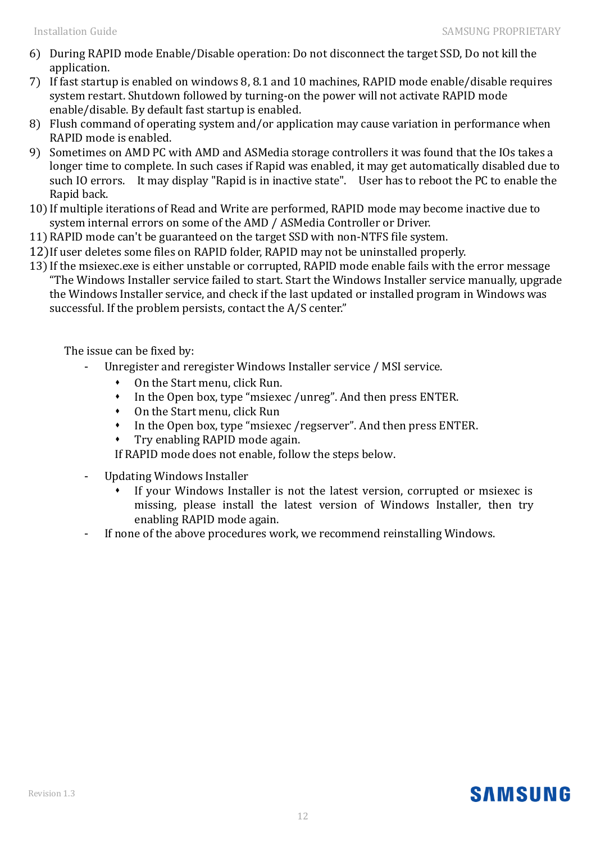- 6) During RAPID mode Enable/Disable operation: Do not disconnect the target SSD, Do not kill the application.
- 7) If fast startup is enabled on windows 8, 8.1 and 10 machines, RAPID mode enable/disable requires system restart. Shutdown followed by turning-on the power will not activate RAPID mode enable/disable. By default fast startup is enabled.
- 8) Flush command of operating system and/or application may cause variation in performance when RAPID mode is enabled.
- 9) Sometimes on AMD PC with AMD and ASMedia storage controllers it was found that the IOs takes a longer time to complete. In such cases if Rapid was enabled, it may get automatically disabled due to such IO errors. It may display "Rapid is in inactive state". User has to reboot the PC to enable the Rapid back.
- 10) If multiple iterations of Read and Write are performed, RAPID mode may become inactive due to system internal errors on some of the AMD / ASMedia Controller or Driver.
- 11)RAPID mode can't be guaranteed on the target SSD with non-NTFS file system.
- 12)If user deletes some files on RAPID folder, RAPID may not be uninstalled properly.
- 13) If the msiexec.exe is either unstable or corrupted, RAPID mode enable fails with the error message "The Windows Installer service failed to start. Start the Windows Installer service manually, upgrade the Windows Installer service, and check if the last updated or installed program in Windows was successful. If the problem persists, contact the A/S center."

The issue can be fixed by:

- Unregister and reregister Windows Installer service / MSI service.
	- On the Start menu, click Run.
	- In the Open box, type "msiexec /unreg". And then press ENTER.
	- On the Start menu, click Run
	- In the Open box, type "msiexec /regserver". And then press ENTER.
	- Try enabling RAPID mode again.

If RAPID mode does not enable, follow the steps below.

- Updating Windows Installer
	- If your Windows Installer is not the latest version, corrupted or msiexec is missing, please install the latest version of Windows Installer, then try enabling RAPID mode again.
- If none of the above procedures work, we recommend reinstalling Windows.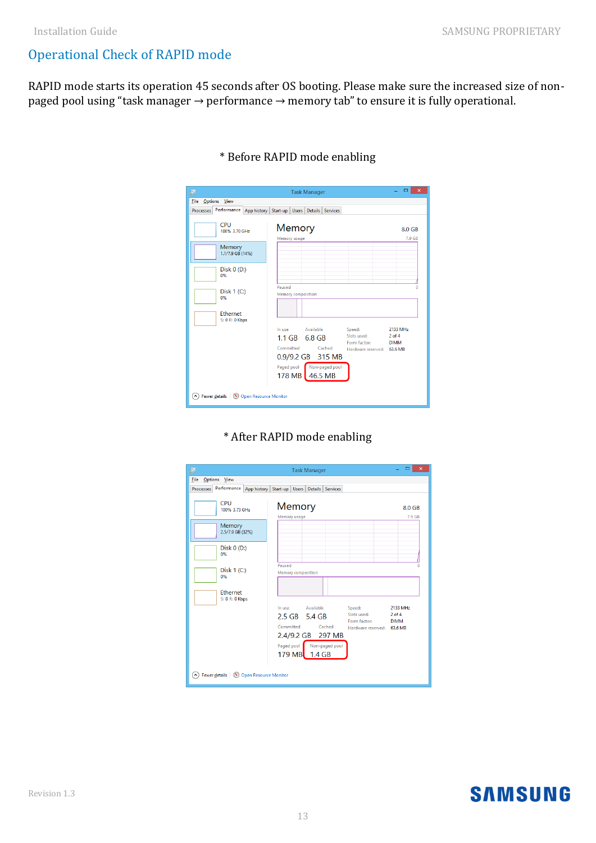# Operational Check of RAPID mode

RAPID mode starts its operation 45 seconds after OS booting. Please make sure the increased size of nonpaged pool using "task manager → performance → memory tab" to ensure it is fully operational.

| 吗                                                 | <b>Task Manager</b>                          | ▭<br>$\boldsymbol{\mathsf{x}}$                           |
|---------------------------------------------------|----------------------------------------------|----------------------------------------------------------|
| File<br>Options<br>View                           |                                              |                                                          |
| Performance<br><b>Processes</b><br>App history    | Start-up<br>Users Details<br><b>Services</b> |                                                          |
| <b>CPU</b><br>100% 3.70 GHz                       | Memory                                       | 8.0 GB                                                   |
| Memory<br>1.1/7.9 GB (14%)                        | Memory usage                                 | 7.9 GB                                                   |
| Disk $0($ D: $)$<br>0%                            |                                              |                                                          |
| Disk $1(C)$<br>0%                                 | Paused<br>Memory composition                 | o                                                        |
| Ethernet<br>S: 0 R: 0 Kbps                        |                                              |                                                          |
|                                                   | Available<br>In use<br>Speed:                | 2133 MHz                                                 |
|                                                   | $1.1$ GB<br>6.8 GB                           | Slots used:<br>$2$ of $4$<br>Form factor:<br><b>DIMM</b> |
|                                                   | Committed<br>Cached                          | Hardware reserved: 63.6 MB                               |
|                                                   | 315 MB<br>0.9/9.2 GB                         |                                                          |
|                                                   | Paged pool Non-paged pool<br>178 MB 46.5 MB  |                                                          |
| Fewer details (N) Open Resource Monitor<br>$\sim$ |                                              |                                                          |

#### \* Before RAPID mode enabling

## \* After RAPID mode enabling

| 偄           |                                           |                                                         | <b>Task Manager</b> |                           |                                                                     | ▫<br>×                                |
|-------------|-------------------------------------------|---------------------------------------------------------|---------------------|---------------------------|---------------------------------------------------------------------|---------------------------------------|
| <b>Eile</b> | Options View                              |                                                         |                     |                           |                                                                     |                                       |
| Processes   |                                           | Performance App history Start-up Users Details Services |                     |                           |                                                                     |                                       |
|             | CPU<br>100% 3.73 GHz                      | Memory<br>Memory usage                                  |                     |                           |                                                                     | 8.0 GB<br>7.9 GB                      |
|             | Memory<br>2.5/7.9 GB (32%)                |                                                         |                     |                           |                                                                     |                                       |
|             | Disk $0($ D: $)$<br>0%                    |                                                         |                     |                           |                                                                     |                                       |
|             | Disk $1(C)$<br>0%                         | Paused<br><b>Memory composition</b>                     |                     |                           |                                                                     |                                       |
|             | <b>Fthernet</b><br>S: 0 R: 0 Kbps         |                                                         |                     |                           |                                                                     |                                       |
|             |                                           | In use<br>2.5 GB 5.4 GB<br>Committed<br>2.4/9.2 GB      | Available           | Cached<br>297 MB          | Speed:<br>Slots used:<br>Form factor:<br>Hardware reserved: 63.6 MB | 2133 MHz<br>$2$ of $4$<br><b>DIMM</b> |
|             |                                           | 179 MB 1.4 GB                                           |                     | Paged pool Non-paged pool |                                                                     |                                       |
| $\sim$      | Fewer details   (N) Open Resource Monitor |                                                         |                     |                           |                                                                     |                                       |